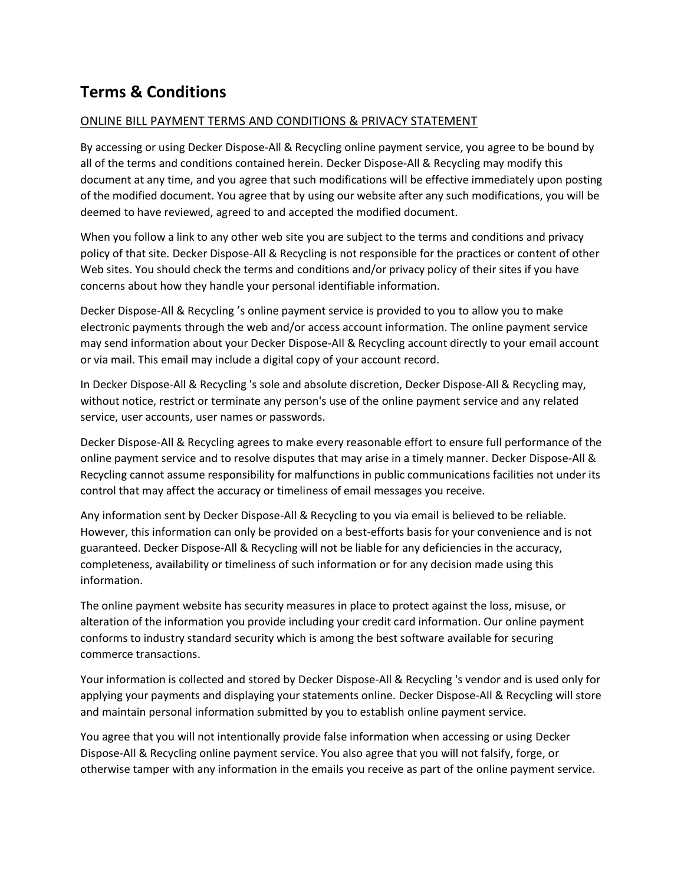# **Terms & Conditions**

#### ONLINE BILL PAYMENT TERMS AND CONDITIONS & PRIVACY STATEMENT

By accessing or using Decker Dispose-All & Recycling online payment service, you agree to be bound by all of the terms and conditions contained herein. Decker Dispose-All & Recycling may modify this document at any time, and you agree that such modifications will be effective immediately upon posting of the modified document. You agree that by using our website after any such modifications, you will be deemed to have reviewed, agreed to and accepted the modified document.

When you follow a link to any other web site you are subject to the terms and conditions and privacy policy of that site. Decker Dispose-All & Recycling is not responsible for the practices or content of other Web sites. You should check the terms and conditions and/or privacy policy of their sites if you have concerns about how they handle your personal identifiable information.

Decker Dispose-All & Recycling 's online payment service is provided to you to allow you to make electronic payments through the web and/or access account information. The online payment service may send information about your Decker Dispose-All & Recycling account directly to your email account or via mail. This email may include a digital copy of your account record.

In Decker Dispose-All & Recycling 's sole and absolute discretion, Decker Dispose-All & Recycling may, without notice, restrict or terminate any person's use of the online payment service and any related service, user accounts, user names or passwords.

Decker Dispose-All & Recycling agrees to make every reasonable effort to ensure full performance of the online payment service and to resolve disputes that may arise in a timely manner. Decker Dispose-All & Recycling cannot assume responsibility for malfunctions in public communications facilities not under its control that may affect the accuracy or timeliness of email messages you receive.

Any information sent by Decker Dispose-All & Recycling to you via email is believed to be reliable. However, this information can only be provided on a best-efforts basis for your convenience and is not guaranteed. Decker Dispose-All & Recycling will not be liable for any deficiencies in the accuracy, completeness, availability or timeliness of such information or for any decision made using this information.

The online payment website has security measures in place to protect against the loss, misuse, or alteration of the information you provide including your credit card information. Our online payment conforms to industry standard security which is among the best software available for securing commerce transactions.

Your information is collected and stored by Decker Dispose-All & Recycling 's vendor and is used only for applying your payments and displaying your statements online. Decker Dispose-All & Recycling will store and maintain personal information submitted by you to establish online payment service.

You agree that you will not intentionally provide false information when accessing or using Decker Dispose-All & Recycling online payment service. You also agree that you will not falsify, forge, or otherwise tamper with any information in the emails you receive as part of the online payment service.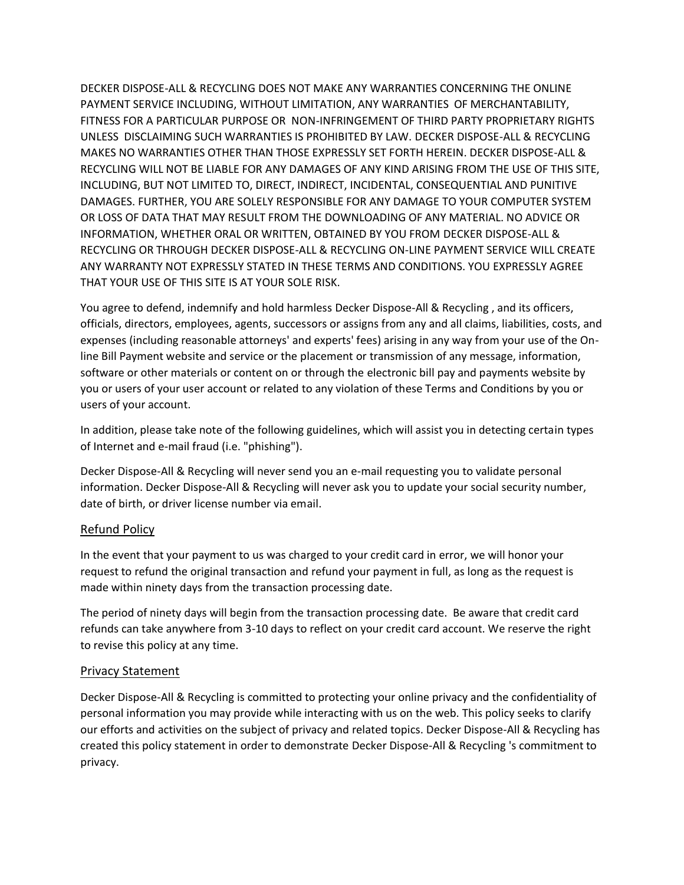DECKER DISPOSE-ALL & RECYCLING DOES NOT MAKE ANY WARRANTIES CONCERNING THE ONLINE PAYMENT SERVICE INCLUDING, WITHOUT LIMITATION, ANY WARRANTIES OF MERCHANTABILITY, FITNESS FOR A PARTICULAR PURPOSE OR NON-INFRINGEMENT OF THIRD PARTY PROPRIETARY RIGHTS UNLESS DISCLAIMING SUCH WARRANTIES IS PROHIBITED BY LAW. DECKER DISPOSE-ALL & RECYCLING MAKES NO WARRANTIES OTHER THAN THOSE EXPRESSLY SET FORTH HEREIN. DECKER DISPOSE-ALL & RECYCLING WILL NOT BE LIABLE FOR ANY DAMAGES OF ANY KIND ARISING FROM THE USE OF THIS SITE, INCLUDING, BUT NOT LIMITED TO, DIRECT, INDIRECT, INCIDENTAL, CONSEQUENTIAL AND PUNITIVE DAMAGES. FURTHER, YOU ARE SOLELY RESPONSIBLE FOR ANY DAMAGE TO YOUR COMPUTER SYSTEM OR LOSS OF DATA THAT MAY RESULT FROM THE DOWNLOADING OF ANY MATERIAL. NO ADVICE OR INFORMATION, WHETHER ORAL OR WRITTEN, OBTAINED BY YOU FROM DECKER DISPOSE-ALL & RECYCLING OR THROUGH DECKER DISPOSE-ALL & RECYCLING ON-LINE PAYMENT SERVICE WILL CREATE ANY WARRANTY NOT EXPRESSLY STATED IN THESE TERMS AND CONDITIONS. YOU EXPRESSLY AGREE THAT YOUR USE OF THIS SITE IS AT YOUR SOLE RISK.

You agree to defend, indemnify and hold harmless Decker Dispose-All & Recycling , and its officers, officials, directors, employees, agents, successors or assigns from any and all claims, liabilities, costs, and expenses (including reasonable attorneys' and experts' fees) arising in any way from your use of the Online Bill Payment website and service or the placement or transmission of any message, information, software or other materials or content on or through the electronic bill pay and payments website by you or users of your user account or related to any violation of these Terms and Conditions by you or users of your account.

In addition, please take note of the following guidelines, which will assist you in detecting certain types of Internet and e-mail fraud (i.e. "phishing").

Decker Dispose-All & Recycling will never send you an e-mail requesting you to validate personal information. Decker Dispose-All & Recycling will never ask you to update your social security number, date of birth, or driver license number via email.

#### Refund Policy

In the event that your payment to us was charged to your credit card in error, we will honor your request to refund the original transaction and refund your payment in full, as long as the request is made within ninety days from the transaction processing date.

The period of ninety days will begin from the transaction processing date. Be aware that credit card refunds can take anywhere from 3-10 days to reflect on your credit card account. We reserve the right to revise this policy at any time.

#### Privacy Statement

Decker Dispose-All & Recycling is committed to protecting your online privacy and the confidentiality of personal information you may provide while interacting with us on the web. This policy seeks to clarify our efforts and activities on the subject of privacy and related topics. Decker Dispose-All & Recycling has created this policy statement in order to demonstrate Decker Dispose-All & Recycling 's commitment to privacy.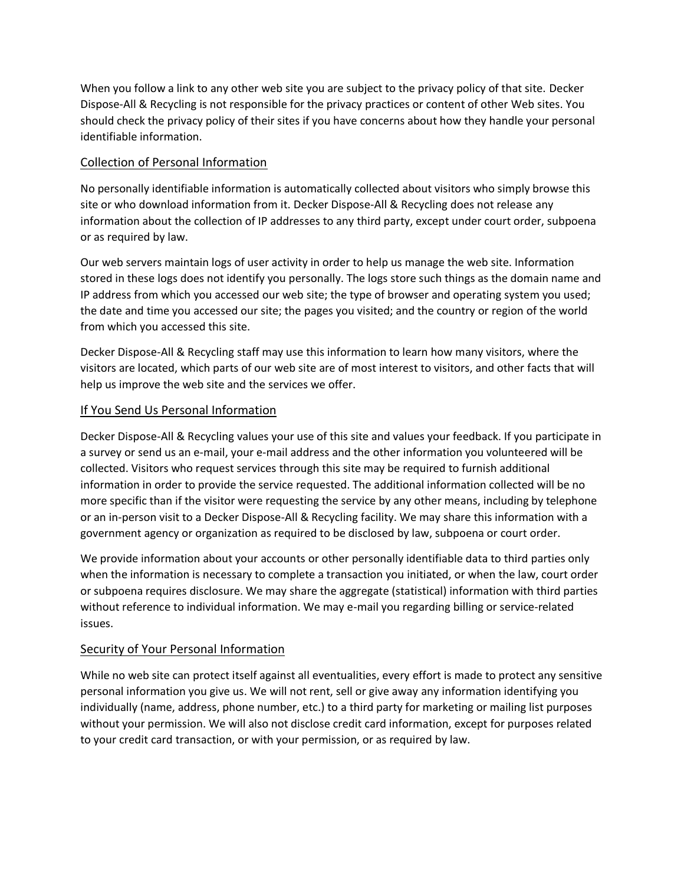When you follow a link to any other web site you are subject to the privacy policy of that site. Decker Dispose-All & Recycling is not responsible for the privacy practices or content of other Web sites. You should check the privacy policy of their sites if you have concerns about how they handle your personal identifiable information.

## Collection of Personal Information

No personally identifiable information is automatically collected about visitors who simply browse this site or who download information from it. Decker Dispose-All & Recycling does not release any information about the collection of IP addresses to any third party, except under court order, subpoena or as required by law.

Our web servers maintain logs of user activity in order to help us manage the web site. Information stored in these logs does not identify you personally. The logs store such things as the domain name and IP address from which you accessed our web site; the type of browser and operating system you used; the date and time you accessed our site; the pages you visited; and the country or region of the world from which you accessed this site.

Decker Dispose-All & Recycling staff may use this information to learn how many visitors, where the visitors are located, which parts of our web site are of most interest to visitors, and other facts that will help us improve the web site and the services we offer.

### If You Send Us Personal Information

Decker Dispose-All & Recycling values your use of this site and values your feedback. If you participate in a survey or send us an e-mail, your e-mail address and the other information you volunteered will be collected. Visitors who request services through this site may be required to furnish additional information in order to provide the service requested. The additional information collected will be no more specific than if the visitor were requesting the service by any other means, including by telephone or an in-person visit to a Decker Dispose-All & Recycling facility. We may share this information with a government agency or organization as required to be disclosed by law, subpoena or court order.

We provide information about your accounts or other personally identifiable data to third parties only when the information is necessary to complete a transaction you initiated, or when the law, court order or subpoena requires disclosure. We may share the aggregate (statistical) information with third parties without reference to individual information. We may e-mail you regarding billing or service-related issues.

### Security of Your Personal Information

While no web site can protect itself against all eventualities, every effort is made to protect any sensitive personal information you give us. We will not rent, sell or give away any information identifying you individually (name, address, phone number, etc.) to a third party for marketing or mailing list purposes without your permission. We will also not disclose credit card information, except for purposes related to your credit card transaction, or with your permission, or as required by law.